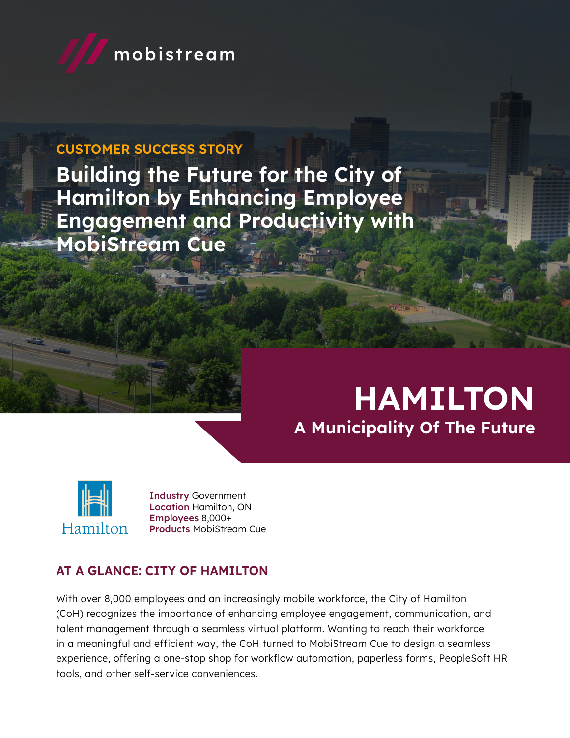

## CUSTOMER SUCCESS STORY

Building the Future for the City of Hamilton by Enhancing Employee Engagement and Productivity with MobiStream Cue

# HAMILTON A Municipality Of The Future



Industry Government Location Hamilton, ON Employees 8,000+ Products MobiStream Cue

# AT A GLANCE: CITY OF HAMILTON

With over 8,000 employees and an increasingly mobile workforce, the City of Hamilton (CoH) recognizes the importance of enhancing employee engagement, communication, and talent management through a seamless virtual platform. Wanting to reach their workforce in a meaningful and efficient way, the CoH turned to MobiStream Cue to design a seamless experience, offering a one-stop shop for workflow automation, paperless forms, PeopleSoft HR tools, and other self-service conveniences.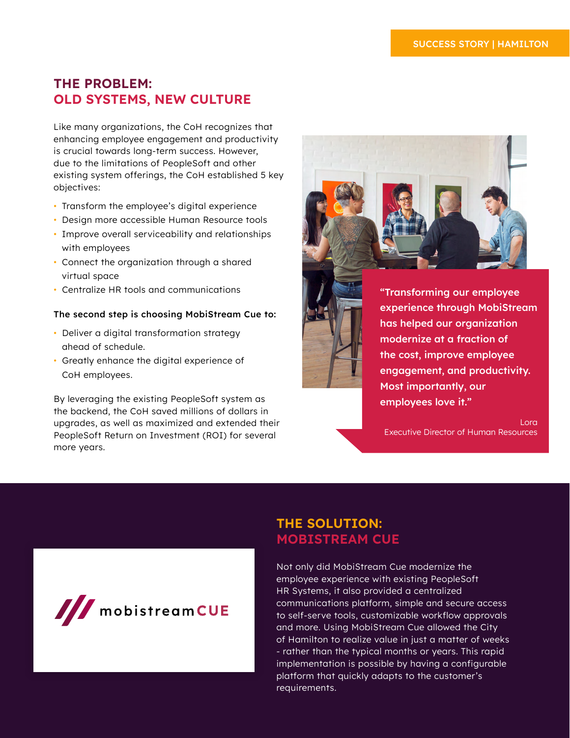## THE PROBLEM: OLD SYSTEMS, NEW CULTURE

Like many organizations, the CoH recognizes that enhancing employee engagement and productivity is crucial towards long-term success. However, due to the limitations of PeopleSoft and other existing system offerings, the CoH established 5 key objectives:

- Transform the employee's digital experience
- Design more accessible Human Resource tools
- Improve overall serviceability and relationships with employees
- Connect the organization through a shared virtual space
- Centralize HR tools and communications

#### The second step is choosing MobiStream Cue to:

- Deliver a digital transformation strategy ahead of schedule.
- Greatly enhance the digital experience of CoH employees.

By leveraging the existing PeopleSoft system as the backend, the CoH saved millions of dollars in upgrades, as well as maximized and extended their PeopleSoft Return on Investment (ROI) for several more years.



"Transforming our employee experience through MobiStream has helped our organization modernize at a fraction of the cost, improve employee engagement, and productivity. Most importantly, our employees love it."

Lora Executive Director of Human Resources



#### THE SOLUTION: MOBISTREAM CUE

Not only did MobiStream Cue modernize the employee experience with existing PeopleSoft HR Systems, it also provided a centralized communications platform, simple and secure access to self-serve tools, customizable workflow approvals and more. Using MobiStream Cue allowed the City of Hamilton to realize value in just a matter of weeks - rather than the typical months or years. This rapid implementation is possible by having a configurable platform that quickly adapts to the customer's requirements.